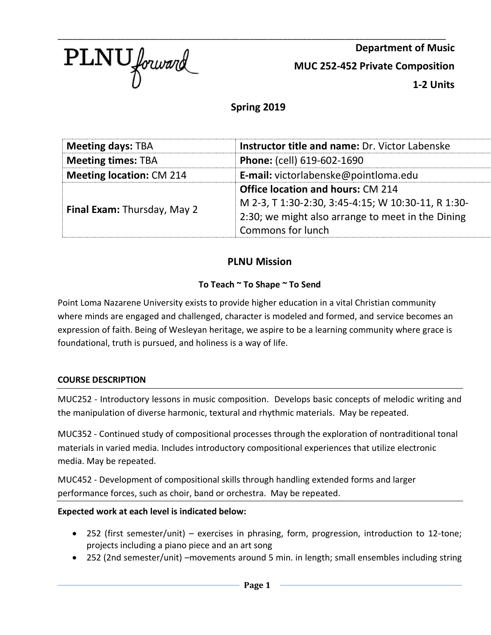

**Department of Music MUC 252-452 Private Composition 1-2 Units**

**Spring 2019**

\_\_\_\_\_\_\_\_\_\_\_\_\_\_\_\_\_\_\_\_\_\_\_\_\_\_\_\_\_\_\_\_\_\_\_\_\_\_\_\_\_\_\_\_\_\_\_\_\_\_\_\_\_\_\_\_\_\_\_\_\_\_\_\_\_\_\_\_\_\_\_\_\_\_\_\_\_\_\_\_\_

| <b>Meeting days: TBA</b>        | <b>Instructor title and name: Dr. Victor Labenske</b> |  |
|---------------------------------|-------------------------------------------------------|--|
| <b>Meeting times: TBA</b>       | Phone: (cell) 619-602-1690                            |  |
| <b>Meeting location: CM 214</b> | E-mail: victorlabenske@pointloma.edu                  |  |
|                                 | <b>Office location and hours: CM 214</b>              |  |
| Final Exam: Thursday, May 2     | M 2-3, T 1:30-2:30, 3:45-4:15; W 10:30-11, R 1:30-    |  |
|                                 | 2:30; we might also arrange to meet in the Dining     |  |
|                                 | Commons for lunch                                     |  |

# **PLNU Mission**

### **To Teach ~ To Shape ~ To Send**

Point Loma Nazarene University exists to provide higher education in a vital Christian community where minds are engaged and challenged, character is modeled and formed, and service becomes an expression of faith. Being of Wesleyan heritage, we aspire to be a learning community where grace is foundational, truth is pursued, and holiness is a way of life.

### **COURSE DESCRIPTION**

MUC252 - Introductory lessons in music composition. Develops basic concepts of melodic writing and the manipulation of diverse harmonic, textural and rhythmic materials. May be repeated.

MUC352 - Continued study of compositional processes through the exploration of nontraditional tonal materials in varied media. Includes introductory compositional experiences that utilize electronic media. May be repeated.

MUC452 - Development of compositional skills through handling extended forms and larger performance forces, such as choir, band or orchestra. May be repeated.

### **Expected work at each level is indicated below:**

- 252 (first semester/unit) exercises in phrasing, form, progression, introduction to 12-tone; projects including a piano piece and an art song
- 252 (2nd semester/unit) –movements around 5 min. in length; small ensembles including string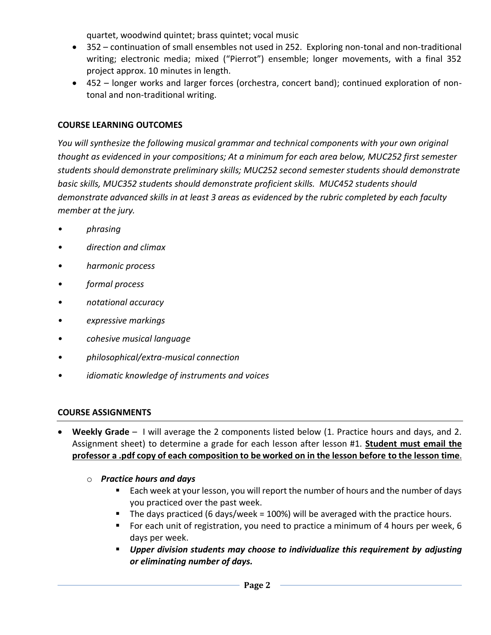quartet, woodwind quintet; brass quintet; vocal music

- 352 continuation of small ensembles not used in 252. Exploring non-tonal and non-traditional writing; electronic media; mixed ("Pierrot") ensemble; longer movements, with a final 352 project approx. 10 minutes in length.
- 452 longer works and larger forces (orchestra, concert band); continued exploration of nontonal and non-traditional writing.

### **COURSE LEARNING OUTCOMES**

*You will synthesize the following musical grammar and technical components with your own original thought as evidenced in your compositions; At a minimum for each area below, MUC252 first semester students should demonstrate preliminary skills; MUC252 second semester students should demonstrate basic skills, MUC352 students should demonstrate proficient skills. MUC452 students should demonstrate advanced skills in at least 3 areas as evidenced by the rubric completed by each faculty member at the jury.*

- *• phrasing*
- *• direction and climax*
- *• harmonic process*
- *• formal process*
- *• notational accuracy*
- *• expressive markings*
- *• cohesive musical language*
- *• philosophical/extra-musical connection*
- *• idiomatic knowledge of instruments and voices*

### **COURSE ASSIGNMENTS**

- **Weekly Grade** I will average the 2 components listed below (1. Practice hours and days, and 2. Assignment sheet) to determine a grade for each lesson after lesson #1. **Student must email the professor a .pdf copy of each composition to be worked on in the lesson before to the lesson time**.
	- o *Practice hours and days* 
		- Each week at your lesson, you will report the number of hours and the number of days you practiced over the past week.
		- The days practiced (6 days/week = 100%) will be averaged with the practice hours.
		- For each unit of registration, you need to practice a minimum of 4 hours per week, 6 days per week.
		- *Upper division students may choose to individualize this requirement by adjusting or eliminating number of days.*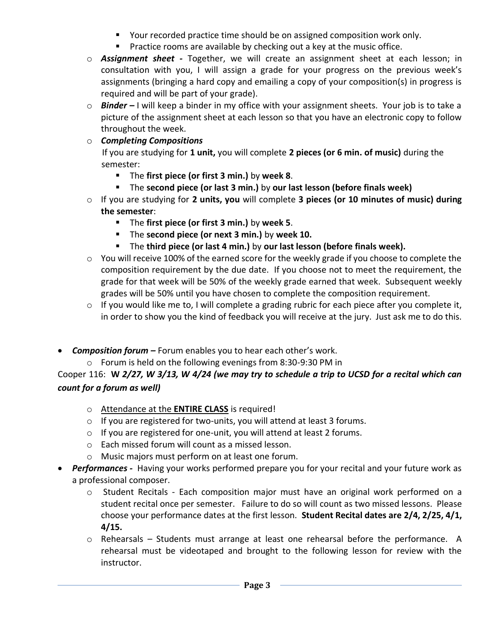- Your recorded practice time should be on assigned composition work only.
- Practice rooms are available by checking out a key at the music office.
- o *Assignment sheet -* Together, we will create an assignment sheet at each lesson; in consultation with you, I will assign a grade for your progress on the previous week's assignments (bringing a hard copy and emailing a copy of your composition(s) in progress is required and will be part of your grade).
- o *Binder –* I will keep a binder in my office with your assignment sheets. Your job is to take a picture of the assignment sheet at each lesson so that you have an electronic copy to follow throughout the week.

## o *Completing Compositions*

 If you are studying for **1 unit,** you will complete **2 pieces (or 6 min. of music)** during the semester:

- The **first piece (or first 3 min.)** by **week 8**.
- The **second piece (or last 3 min.)** by **our last lesson (before finals week)**
- o If you are studying for **2 units, you** will complete **3 pieces (or 10 minutes of music) during the semester**:
	- The **first piece (or first 3 min.)** by **week 5**.
	- The **second piece (or next 3 min.)** by **week 10.**
	- The **third piece (or last 4 min.)** by **our last lesson (before finals week).**
- o You will receive 100% of the earned score for the weekly grade if you choose to complete the composition requirement by the due date. If you choose not to meet the requirement, the grade for that week will be 50% of the weekly grade earned that week. Subsequent weekly grades will be 50% until you have chosen to complete the composition requirement.
- o If you would like me to, I will complete a grading rubric for each piece after you complete it, in order to show you the kind of feedback you will receive at the jury. Just ask me to do this.
- **Composition forum** Forum enables you to hear each other's work.
	- o Forum is held on the following evenings from 8:30-9:30 PM in

Cooper 116: **W** *2/27, W 3/13, W 4/24 (we may try to schedule a trip to UCSD for a recital which can count for a forum as well)*

- o Attendance at the **ENTIRE CLASS** is required!
- o If you are registered for two-units, you will attend at least 3 forums.
- o If you are registered for one-unit, you will attend at least 2 forums.
- o Each missed forum will count as a missed lesson.
- o Music majors must perform on at least one forum.
- *Performances -* Having your works performed prepare you for your recital and your future work as a professional composer.
	- o Student Recitals Each composition major must have an original work performed on a student recital once per semester. Failure to do so will count as two missed lessons. Please choose your performance dates at the first lesson. **Student Recital dates are 2/4, 2/25, 4/1, 4/15.**
	- o Rehearsals Students must arrange at least one rehearsal before the performance. A rehearsal must be videotaped and brought to the following lesson for review with the instructor.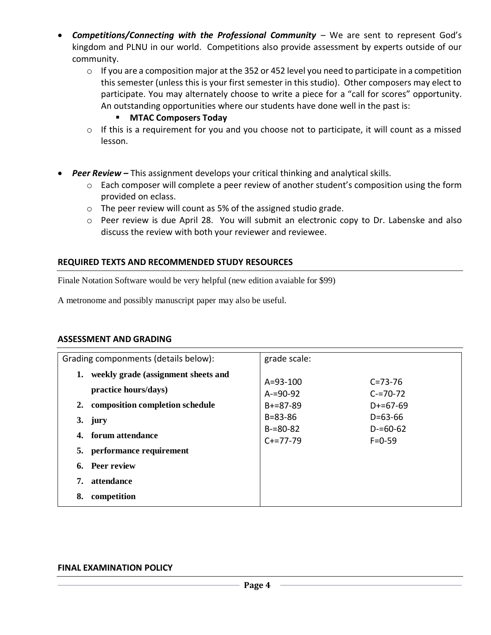- *Competitions/Connecting with the Professional Community* We are sent to represent God's kingdom and PLNU in our world. Competitions also provide assessment by experts outside of our community.
	- o If you are a composition major at the 352 or 452 level you need to participate in a competition this semester (unless this is your first semester in this studio). Other composers may elect to participate. You may alternately choose to write a piece for a "call for scores" opportunity. An outstanding opportunities where our students have done well in the past is:

#### ▪ **MTAC Composers Today**

- $\circ$  If this is a requirement for you and you choose not to participate, it will count as a missed lesson.
- *Peer Review –* This assignment develops your critical thinking and analytical skills.
	- o Each composer will complete a peer review of another student's composition using the form provided on eclass.
	- o The peer review will count as 5% of the assigned studio grade.
	- o Peer review is due April 28. You will submit an electronic copy to Dr. Labenske and also discuss the review with both your reviewer and reviewee.

#### **REQUIRED TEXTS AND RECOMMENDED STUDY RESOURCES**

Finale Notation Software would be very helpful (new edition avaiable for \$99)

A metronome and possibly manuscript paper may also be useful.

#### **ASSESSMENT AND GRADING**

| Grading componments (details below): |                                     | grade scale:   |               |  |  |
|--------------------------------------|-------------------------------------|----------------|---------------|--|--|
| 1.                                   | weekly grade (assignment sheets and |                |               |  |  |
|                                      |                                     | $A = 93 - 100$ | $C = 73 - 76$ |  |  |
|                                      | practice hours/days)                | $A = 90-92$    | $C = 70 - 72$ |  |  |
|                                      | 2. composition completion schedule  | $B+=87-89$     | $D+=67-69$    |  |  |
|                                      | $3.$ jury                           | $B = 83 - 86$  | $D = 63 - 66$ |  |  |
|                                      |                                     | $B = 80 - 82$  | $D = 60 - 62$ |  |  |
|                                      | 4. forum attendance                 | $C+=77-79$     | $F = 0 - 59$  |  |  |
| 5.                                   | performance requirement             |                |               |  |  |
| 6.                                   | Peer review                         |                |               |  |  |
|                                      |                                     |                |               |  |  |
| 7.                                   | attendance                          |                |               |  |  |
| 8.                                   | competition                         |                |               |  |  |

#### **FINAL EXAMINATION POLICY**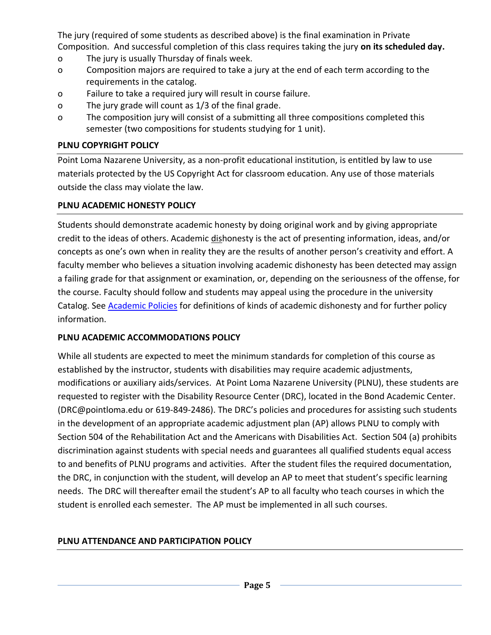The jury (required of some students as described above) is the final examination in Private Composition. And successful completion of this class requires taking the jury **on its scheduled day.**

- o The jury is usually Thursday of finals week.
- o Composition majors are required to take a jury at the end of each term according to the requirements in the catalog.
- o Failure to take a required jury will result in course failure.
- o The jury grade will count as 1/3 of the final grade.
- o The composition jury will consist of a submitting all three compositions completed this semester (two compositions for students studying for 1 unit).

### **PLNU COPYRIGHT POLICY**

Point Loma Nazarene University, as a non-profit educational institution, is entitled by law to use materials protected by the US Copyright Act for classroom education. Any use of those materials outside the class may violate the law.

### **PLNU ACADEMIC HONESTY POLICY**

Students should demonstrate academic honesty by doing original work and by giving appropriate credit to the ideas of others. Academic dishonesty is the act of presenting information, ideas, and/or concepts as one's own when in reality they are the results of another person's creativity and effort. A faculty member who believes a situation involving academic dishonesty has been detected may assign a failing grade for that assignment or examination, or, depending on the seriousness of the offense, for the course. Faculty should follow and students may appeal using the procedure in the university Catalog. See **Academic Policies** for definitions of kinds of academic dishonesty and for further policy information.

### **PLNU ACADEMIC ACCOMMODATIONS POLICY**

While all students are expected to meet the minimum standards for completion of this course as established by the instructor, students with disabilities may require academic adjustments, modifications or auxiliary aids/services. At Point Loma Nazarene University (PLNU), these students are requested to register with the Disability Resource Center (DRC), located in the Bond Academic Center. (DRC@pointloma.edu or 619-849-2486). The DRC's policies and procedures for assisting such students in the development of an appropriate academic adjustment plan (AP) allows PLNU to comply with Section 504 of the Rehabilitation Act and the Americans with Disabilities Act. Section 504 (a) prohibits discrimination against students with special needs and guarantees all qualified students equal access to and benefits of PLNU programs and activities. After the student files the required documentation, the DRC, in conjunction with the student, will develop an AP to meet that student's specific learning needs. The DRC will thereafter email the student's AP to all faculty who teach courses in which the student is enrolled each semester. The AP must be implemented in all such courses.

### **PLNU ATTENDANCE AND PARTICIPATION POLICY**